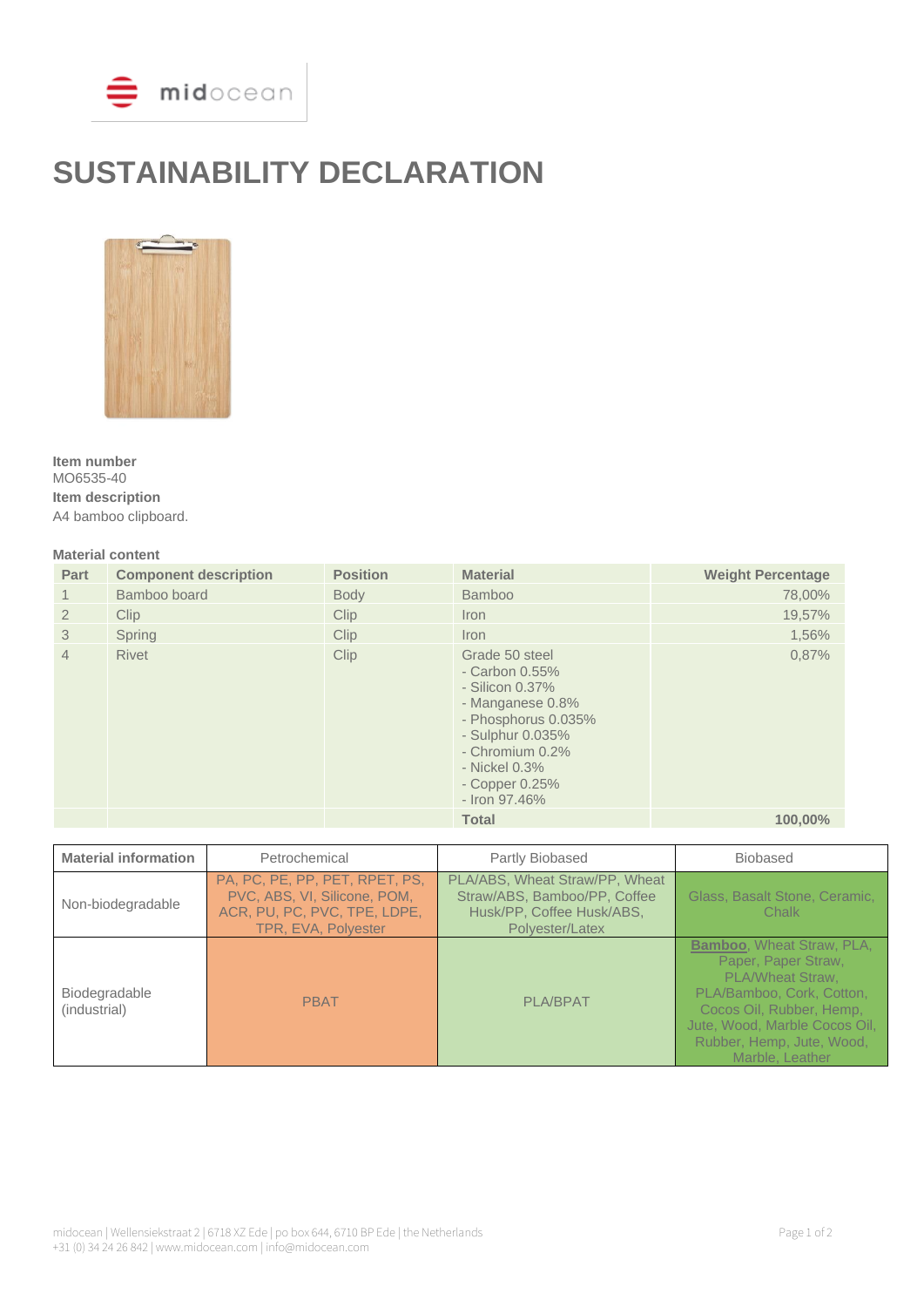

# **SUSTAINABILITY DECLARATION**



**Item number** MO6535-40 **Item description** A4 bamboo clipboard.

## **Material content**

| Part           | <b>Component description</b> | <b>Position</b> | <b>Material</b>                                                                                                                                                                                     | <b>Weight Percentage</b> |
|----------------|------------------------------|-----------------|-----------------------------------------------------------------------------------------------------------------------------------------------------------------------------------------------------|--------------------------|
| 1              | Bamboo board                 | <b>Body</b>     | <b>Bamboo</b>                                                                                                                                                                                       | 78,00%                   |
| $\overline{2}$ | <b>Clip</b>                  | <b>Clip</b>     | Iron                                                                                                                                                                                                | 19,57%                   |
| 3              | Spring                       | <b>Clip</b>     | <i>I</i> ron                                                                                                                                                                                        | 1,56%                    |
| $\overline{4}$ | <b>Rivet</b>                 | Clip            | Grade 50 steel<br>- Carbon $0.55\%$<br>- Silicon $0.37\%$<br>- Manganese 0.8%<br>- Phosphorus 0.035%<br>- Sulphur 0.035%<br>- Chromium 0.2%<br>- Nickel 0.3%<br>$-$ Copper $0.25%$<br>- Iron 97.46% | 0,87%                    |
|                |                              |                 | <b>Total</b>                                                                                                                                                                                        | 100.00%                  |

| <b>Material information</b>   | Petrochemical                                                                                                         | Partly Biobased                                                                                                | <b>Biobased</b>                                                                                                                                                                                                               |
|-------------------------------|-----------------------------------------------------------------------------------------------------------------------|----------------------------------------------------------------------------------------------------------------|-------------------------------------------------------------------------------------------------------------------------------------------------------------------------------------------------------------------------------|
| Non-biodegradable             | PA, PC, PE, PP, PET, RPET, PS,<br>PVC, ABS, VI, Silicone, POM,<br>ACR, PU, PC, PVC, TPE, LDPE,<br>TPR, EVA, Polyester | PLA/ABS, Wheat Straw/PP, Wheat<br>Straw/ABS, Bamboo/PP, Coffee<br>Husk/PP, Coffee Husk/ABS,<br>Polyester/Latex | Glass, Basalt Stone, Ceramic,<br>Chalk                                                                                                                                                                                        |
| Biodegradable<br>(industrial) | <b>PBAT</b>                                                                                                           | <b>PLA/BPAT</b>                                                                                                | <b>Bamboo</b> , Wheat Straw, PLA,<br>Paper, Paper Straw,<br><b>PLA/Wheat Straw.</b><br>PLA/Bamboo, Cork, Cotton,<br>Cocos Oil, Rubber, Hemp,<br>Jute, Wood, Marble Cocos Oil,<br>Rubber, Hemp, Jute, Wood,<br>Marble, Leather |